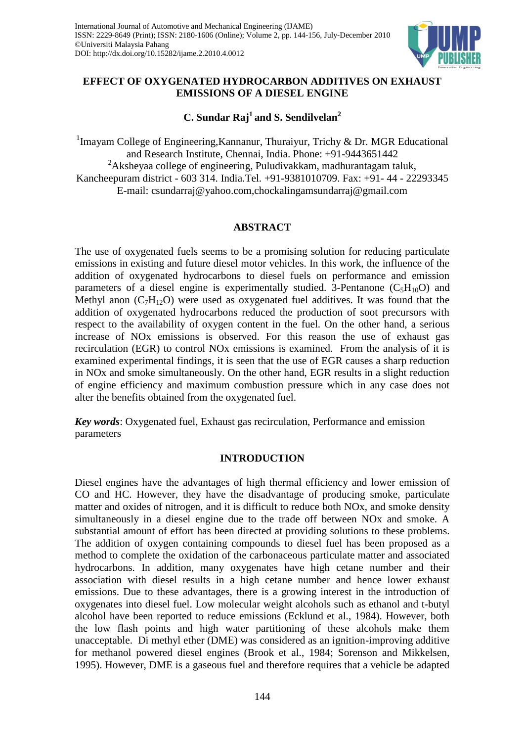

# **EFFECT OF OXYGENATED HYDROCARBON ADDITIVES ON EXHAUST EMISSIONS OF A DIESEL ENGINE**

# **C. Sundar Raj<sup>1</sup>and S. Sendilvelan<sup>2</sup>**

<sup>1</sup>Imayam College of Engineering, Kannanur, Thuraiyur, Trichy & Dr. MGR Educational and Research Institute, Chennai, India. Phone: +91-9443651442  $2A$ ksheyaa college of engineering, Puludivakkam, madhurantagam taluk, Kancheepuram district - 603 314. India.Tel. +91-9381010709. Fax: +91- 44 - 22293345 E-mail: csundarraj@yahoo.com,chockalingamsundarraj@gmail.com

# **ABSTRACT**

The use of oxygenated fuels seems to be a promising solution for reducing particulate emissions in existing and future diesel motor vehicles. In this work, the influence of the addition of oxygenated hydrocarbons to diesel fuels on performance and emission parameters of a diesel engine is experimentally studied. 3-Pentanone  $(C_5H_{10}O)$  and Methyl anon  $(C_7H_{12}O)$  were used as oxygenated fuel additives. It was found that the addition of oxygenated hydrocarbons reduced the production of soot precursors with respect to the availability of oxygen content in the fuel. On the other hand, a serious increase of NOx emissions is observed. For this reason the use of exhaust gas recirculation (EGR) to control NOx emissions is examined. From the analysis of it is examined experimental findings, it is seen that the use of EGR causes a sharp reduction in NOx and smoke simultaneously. On the other hand, EGR results in a slight reduction of engine efficiency and maximum combustion pressure which in any case does not alter the benefits obtained from the oxygenated fuel.

*Key words*: Oxygenated fuel, Exhaust gas recirculation, Performance and emission parameters

## **INTRODUCTION**

Diesel engines have the advantages of high thermal efficiency and lower emission of CO and HC. However, they have the disadvantage of producing smoke, particulate matter and oxides of nitrogen, and it is difficult to reduce both NOx, and smoke density simultaneously in a diesel engine due to the trade off between NOx and smoke. A substantial amount of effort has been directed at providing solutions to these problems. The addition of oxygen containing compounds to diesel fuel has been proposed as a method to complete the oxidation of the carbonaceous particulate matter and associated hydrocarbons. In addition, many oxygenates have high cetane number and their association with diesel results in a high cetane number and hence lower exhaust emissions. Due to these advantages, there is a growing interest in the introduction of oxygenates into diesel fuel. Low molecular weight alcohols such as ethanol and t-butyl alcohol have been reported to reduce emissions (Ecklund et al., 1984). However, both the low flash points and high water partitioning of these alcohols make them unacceptable. Di methyl ether (DME) was considered as an ignition-improving additive for methanol powered diesel engines (Brook et al., 1984; Sorenson and Mikkelsen, 1995). However, DME is a gaseous fuel and therefore requires that a vehicle be adapted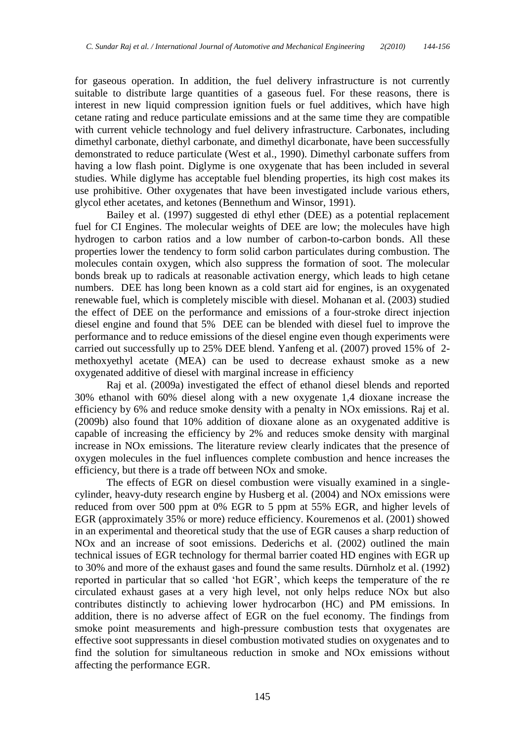for gaseous operation. In addition, the fuel delivery infrastructure is not currently suitable to distribute large quantities of a gaseous fuel. For these reasons, there is interest in new liquid compression ignition fuels or fuel additives, which have high cetane rating and reduce particulate emissions and at the same time they are compatible with current vehicle technology and fuel delivery infrastructure. Carbonates, including dimethyl carbonate, diethyl carbonate, and dimethyl dicarbonate, have been successfully demonstrated to reduce particulate (West et al., 1990). Dimethyl carbonate suffers from having a low flash point. Diglyme is one oxygenate that has been included in several studies. While diglyme has acceptable fuel blending properties, its high cost makes its use prohibitive. Other oxygenates that have been investigated include various ethers, glycol ether acetates, and ketones (Bennethum and Winsor, 1991).

Bailey et al. (1997) suggested di ethyl ether (DEE) as a potential replacement fuel for CI Engines. The molecular weights of DEE are low; the molecules have high hydrogen to carbon ratios and a low number of carbon-to-carbon bonds. All these properties lower the tendency to form solid carbon particulates during combustion. The molecules contain oxygen, which also suppress the formation of soot. The molecular bonds break up to radicals at reasonable activation energy, which leads to high cetane numbers. DEE has long been known as a cold start aid for engines, is an oxygenated renewable fuel, which is completely miscible with diesel. Mohanan et al. (2003) studied the effect of DEE on the performance and emissions of a four-stroke direct injection diesel engine and found that 5% DEE can be blended with diesel fuel to improve the performance and to reduce emissions of the diesel engine even though experiments were carried out successfully up to 25% DEE blend. Yanfeng et al. (2007) proved 15% of 2 methoxyethyl acetate (MEA) can be used to decrease exhaust smoke as a new oxygenated additive of diesel with marginal increase in efficiency

Raj et al. (2009a) investigated the effect of ethanol diesel blends and reported 30% ethanol with 60% diesel along with a new oxygenate 1,4 dioxane increase the efficiency by 6% and reduce smoke density with a penalty in NOx emissions. Raj et al. (2009b) also found that 10% addition of dioxane alone as an oxygenated additive is capable of increasing the efficiency by 2% and reduces smoke density with marginal increase in NOx emissions. The literature review clearly indicates that the presence of oxygen molecules in the fuel influences complete combustion and hence increases the efficiency, but there is a trade off between NOx and smoke.

The effects of EGR on diesel combustion were visually examined in a singlecylinder, heavy-duty research engine by Husberg et al. (2004) and NOx emissions were reduced from over 500 ppm at 0% EGR to 5 ppm at 55% EGR, and higher levels of EGR (approximately 35% or more) reduce efficiency. Kouremenos et al. (2001) showed in an experimental and theoretical study that the use of EGR causes a sharp reduction of NOx and an increase of soot emissions. Dederichs et al. (2002) outlined the main technical issues of EGR technology for thermal barrier coated HD engines with EGR up to 30% and more of the exhaust gases and found the same results. Dürnholz et al. (1992) reported in particular that so called 'hot EGR', which keeps the temperature of the re circulated exhaust gases at a very high level, not only helps reduce NOx but also contributes distinctly to achieving lower hydrocarbon (HC) and PM emissions. In addition, there is no adverse affect of EGR on the fuel economy. The findings from smoke point measurements and high-pressure combustion tests that oxygenates are effective soot suppressants in diesel combustion motivated studies on oxygenates and to find the solution for simultaneous reduction in smoke and NOx emissions without affecting the performance EGR.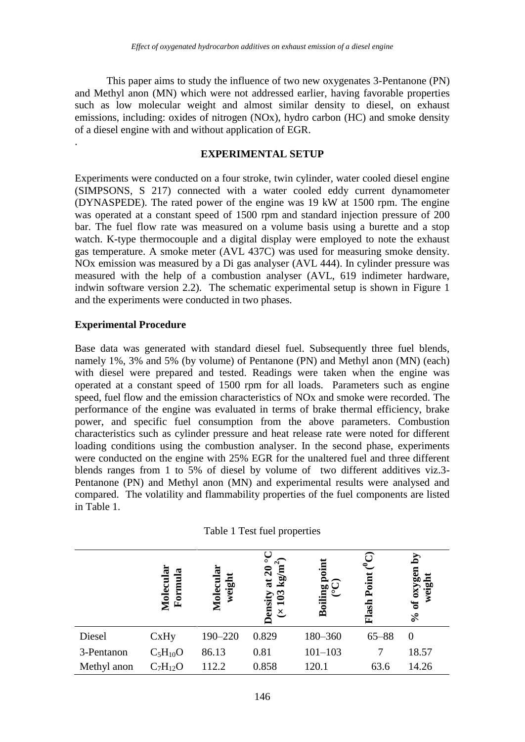This paper aims to study the influence of two new oxygenates 3-Pentanone (PN) and Methyl anon (MN) which were not addressed earlier, having favorable properties such as low molecular weight and almost similar density to diesel, on exhaust emissions, including: oxides of nitrogen (NOx), hydro carbon (HC) and smoke density of a diesel engine with and without application of EGR.

### **EXPERIMENTAL SETUP**

Experiments were conducted on a four stroke, twin cylinder, water cooled diesel engine (SIMPSONS, S 217) connected with a water cooled eddy current dynamometer (DYNASPEDE). The rated power of the engine was 19 kW at 1500 rpm. The engine was operated at a constant speed of 1500 rpm and standard injection pressure of 200 bar. The fuel flow rate was measured on a volume basis using a burette and a stop watch. K-type thermocouple and a digital display were employed to note the exhaust gas temperature. A smoke meter (AVL 437C) was used for measuring smoke density. NOx emission was measured by a Di gas analyser (AVL 444). In cylinder pressure was measured with the help of a combustion analyser (AVL, 619 indimeter hardware, indwin software version 2.2). The schematic experimental setup is shown in Figure 1 and the experiments were conducted in two phases.

## **Experimental Procedure**

.

Base data was generated with standard diesel fuel. Subsequently three fuel blends, namely 1%, 3% and 5% (by volume) of Pentanone (PN) and Methyl anon (MN) (each) with diesel were prepared and tested. Readings were taken when the engine was operated at a constant speed of 1500 rpm for all loads. Parameters such as engine speed, fuel flow and the emission characteristics of NOx and smoke were recorded. The performance of the engine was evaluated in terms of brake thermal efficiency, brake power, and specific fuel consumption from the above parameters. Combustion characteristics such as cylinder pressure and heat release rate were noted for different loading conditions using the combustion analyser. In the second phase, experiments were conducted on the engine with 25% EGR for the unaltered fuel and three different blends ranges from 1 to 5% of diesel by volume of two different additives viz.3- Pentanone (PN) and Methyl anon (MN) and experimental results were analysed and compared. The volatility and flammability properties of the fuel components are listed in Table 1.

|             | Ξ<br>æ<br>Molecul<br>Form | G<br>weight<br>Molecu | $\overline{\circ}$<br>$\widehat{r}$<br>$\log/m$<br>at $20$<br>ొ | oiling      | ೯<br>Point | ΣĀ<br>ы<br>0 <sub>X</sub><br>Đ<br>$\mathbf{f}$ |  |
|-------------|---------------------------|-----------------------|-----------------------------------------------------------------|-------------|------------|------------------------------------------------|--|
|             |                           |                       | ensi<br>$\overline{\mathcal{X}}$                                | Ă           | Flash      | $\mathcal{S}_{\bullet}$                        |  |
| Diesel      | CxHy                      | 190-220               | 0.829                                                           | 180-360     | $65 - 88$  | $\Omega$                                       |  |
| 3-Pentanon  | $C_5H_{10}O$              | 86.13                 | 0.81                                                            | $101 - 103$ |            | 18.57                                          |  |
| Methyl anon | $C_7H_{12}O$              | 112.2                 | 0.858                                                           | 120.1       | 63.6       | 14.26                                          |  |

| Table 1 Test fuel properties |  |
|------------------------------|--|
|------------------------------|--|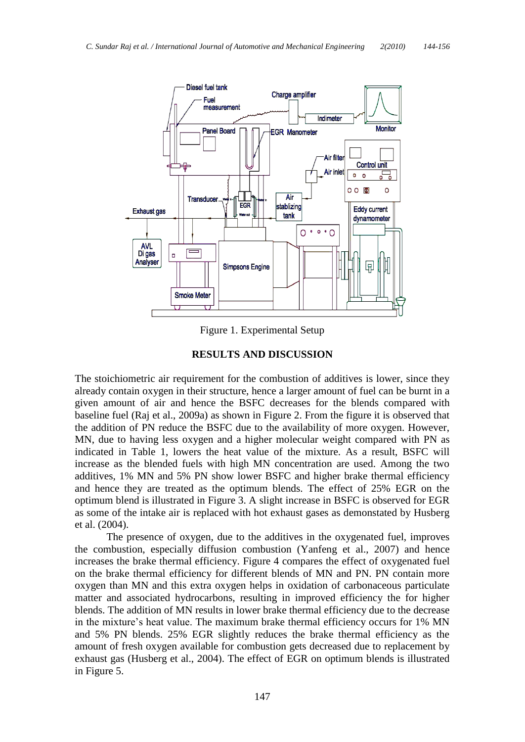

Figure 1. Experimental Setup

## **RESULTS AND DISCUSSION**

The stoichiometric air requirement for the combustion of additives is lower, since they already contain oxygen in their structure, hence a larger amount of fuel can be burnt in a given amount of air and hence the BSFC decreases for the blends compared with baseline fuel (Raj et al., 2009a) as shown in Figure 2. From the figure it is observed that the addition of PN reduce the BSFC due to the availability of more oxygen. However, MN, due to having less oxygen and a higher molecular weight compared with PN as indicated in Table 1, lowers the heat value of the mixture. As a result, BSFC will increase as the blended fuels with high MN concentration are used. Among the two additives, 1% MN and 5% PN show lower BSFC and higher brake thermal efficiency and hence they are treated as the optimum blends. The effect of 25% EGR on the optimum blend is illustrated in Figure 3. A slight increase in BSFC is observed for EGR as some of the intake air is replaced with hot exhaust gases as demonstated by Husberg et al. (2004).

The presence of oxygen, due to the additives in the oxygenated fuel, improves the combustion, especially diffusion combustion (Yanfeng et al., 2007) and hence increases the brake thermal efficiency. Figure 4 compares the effect of oxygenated fuel on the brake thermal efficiency for different blends of MN and PN. PN contain more oxygen than MN and this extra oxygen helps in oxidation of carbonaceous particulate matter and associated hydrocarbons, resulting in improved efficiency the for higher blends. The addition of MN results in lower brake thermal efficiency due to the decrease in the mixture's heat value. The maximum brake thermal efficiency occurs for 1% MN and 5% PN blends. 25% EGR slightly reduces the brake thermal efficiency as the amount of fresh oxygen available for combustion gets decreased due to replacement by exhaust gas (Husberg et al., 2004). The effect of EGR on optimum blends is illustrated in Figure 5.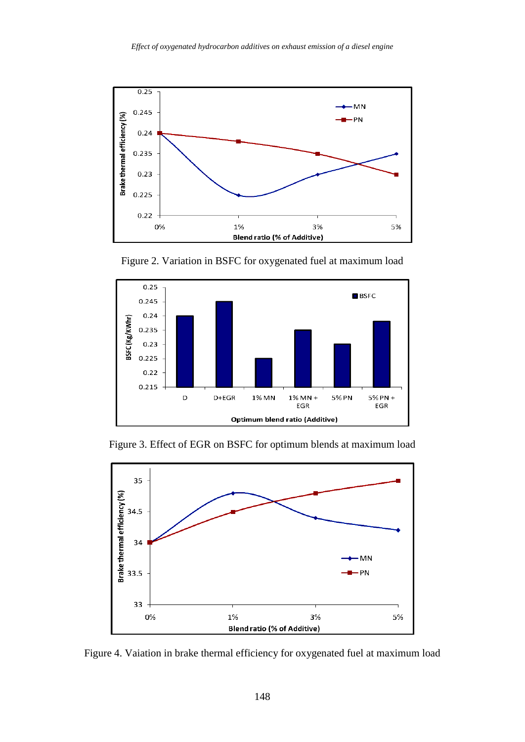

Figure 2. Variation in BSFC for oxygenated fuel at maximum load



Figure 3. Effect of EGR on BSFC for optimum blends at maximum load



Figure 4. Vaiation in brake thermal efficiency for oxygenated fuel at maximum load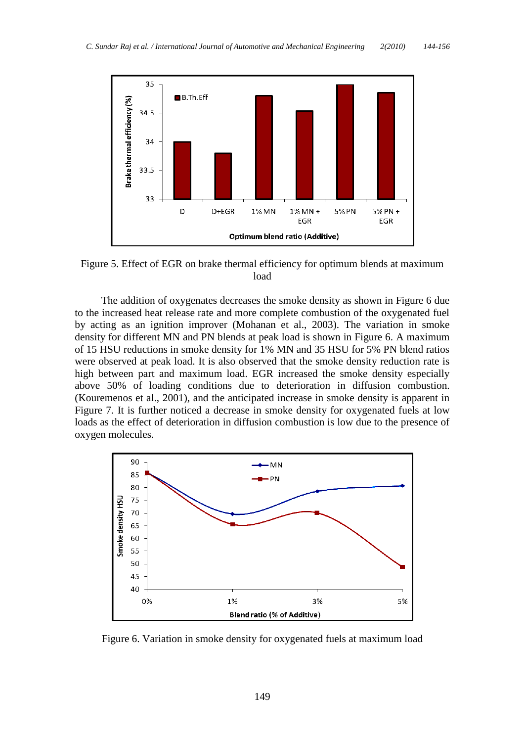

Figure 5. Effect of EGR on brake thermal efficiency for optimum blends at maximum load

 The addition of oxygenates decreases the smoke density as shown in Figure 6 due to the increased heat release rate and more complete combustion of the oxygenated fuel by acting as an ignition improver (Mohanan et al., 2003). The variation in smoke density for different MN and PN blends at peak load is shown in Figure 6. A maximum of 15 HSU reductions in smoke density for 1% MN and 35 HSU for 5% PN blend ratios were observed at peak load. It is also observed that the smoke density reduction rate is high between part and maximum load. EGR increased the smoke density especially above 50% of loading conditions due to deterioration in diffusion combustion. (Kouremenos et al., 2001), and the anticipated increase in smoke density is apparent in Figure 7. It is further noticed a decrease in smoke density for oxygenated fuels at low loads as the effect of deterioration in diffusion combustion is low due to the presence of oxygen molecules.



Figure 6. Variation in smoke density for oxygenated fuels at maximum load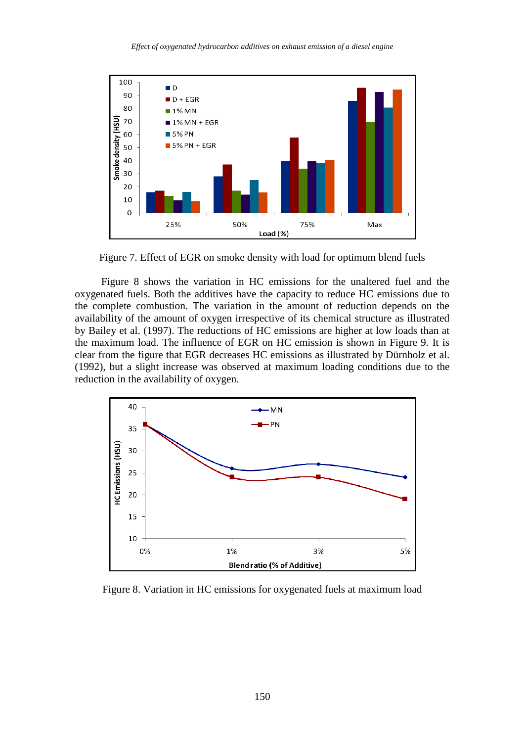

Figure 7. Effect of EGR on smoke density with load for optimum blend fuels

 Figure 8 shows the variation in HC emissions for the unaltered fuel and the oxygenated fuels. Both the additives have the capacity to reduce HC emissions due to the complete combustion. The variation in the amount of reduction depends on the availability of the amount of oxygen irrespective of its chemical structure as illustrated by Bailey et al. (1997). The reductions of HC emissions are higher at low loads than at the maximum load. The influence of EGR on HC emission is shown in Figure 9. It is clear from the figure that EGR decreases HC emissions as illustrated by Dürnholz et al. (1992), but a slight increase was observed at maximum loading conditions due to the reduction in the availability of oxygen.



Figure 8. Variation in HC emissions for oxygenated fuels at maximum load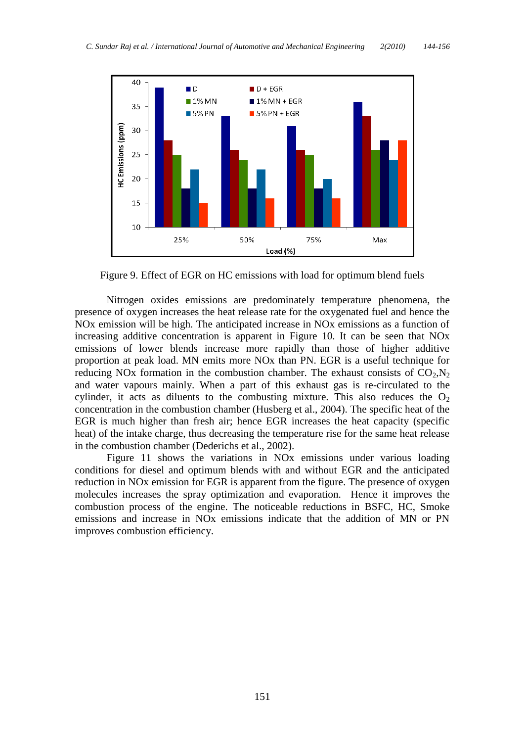

Figure 9. Effect of EGR on HC emissions with load for optimum blend fuels

Nitrogen oxides emissions are predominately temperature phenomena, the presence of oxygen increases the heat release rate for the oxygenated fuel and hence the NOx emission will be high. The anticipated increase in NOx emissions as a function of increasing additive concentration is apparent in Figure 10. It can be seen that NOx emissions of lower blends increase more rapidly than those of higher additive proportion at peak load. MN emits more NOx than PN. EGR is a useful technique for reducing NO<sub>x</sub> formation in the combustion chamber. The exhaust consists of  $CO<sub>2</sub>N<sub>2</sub>$ and water vapours mainly. When a part of this exhaust gas is re-circulated to the cylinder, it acts as diluents to the combusting mixture. This also reduces the  $O_2$ concentration in the combustion chamber (Husberg et al., 2004). The specific heat of the EGR is much higher than fresh air; hence EGR increases the heat capacity (specific heat) of the intake charge, thus decreasing the temperature rise for the same heat release in the combustion chamber (Dederichs et al., 2002).

Figure 11 shows the variations in NOx emissions under various loading conditions for diesel and optimum blends with and without EGR and the anticipated reduction in NOx emission for EGR is apparent from the figure. The presence of oxygen molecules increases the spray optimization and evaporation. Hence it improves the combustion process of the engine. The noticeable reductions in BSFC, HC, Smoke emissions and increase in NOx emissions indicate that the addition of MN or PN improves combustion efficiency.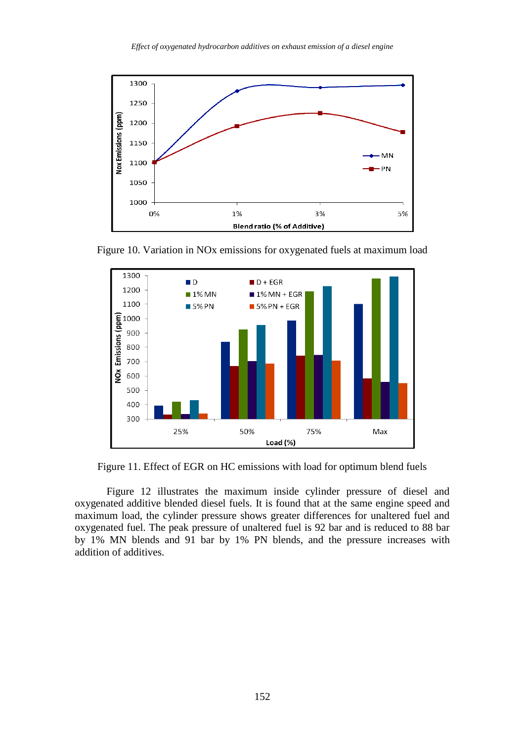

Figure 10. Variation in NOx emissions for oxygenated fuels at maximum load



Figure 11. Effect of EGR on HC emissions with load for optimum blend fuels

Figure 12 illustrates the maximum inside cylinder pressure of diesel and oxygenated additive blended diesel fuels. It is found that at the same engine speed and maximum load, the cylinder pressure shows greater differences for unaltered fuel and oxygenated fuel. The peak pressure of unaltered fuel is 92 bar and is reduced to 88 bar by 1% MN blends and 91 bar by 1% PN blends, and the pressure increases with addition of additives.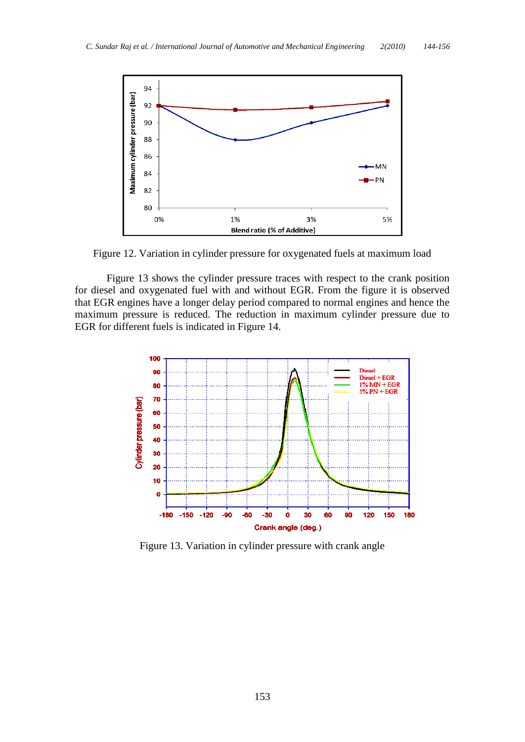

Figure 12. Variation in cylinder pressure for oxygenated fuels at maximum load

Figure 13 shows the cylinder pressure traces with respect to the crank position for diesel and oxygenated fuel with and without EGR. From the figure it is observed that EGR engines have a longer delay period compared to normal engines and hence the maximum pressure is reduced. The reduction in maximum cylinder pressure due to EGR for different fuels is indicated in Figure 14.



Figure 13. Variation in cylinder pressure with crank angle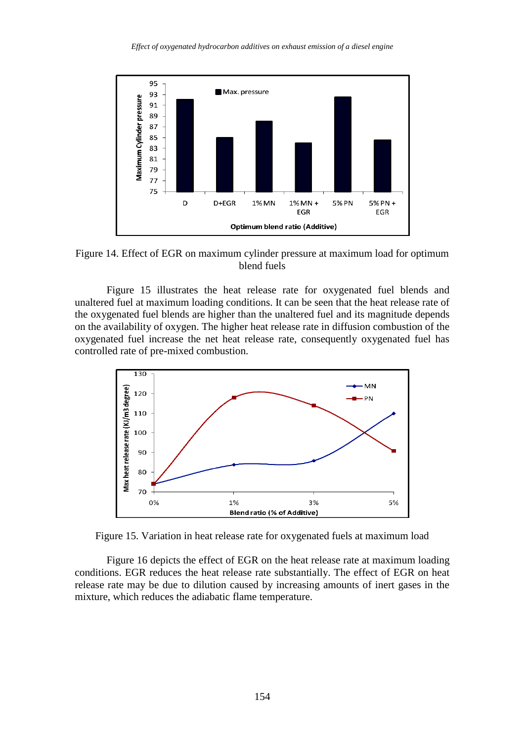

Figure 14. Effect of EGR on maximum cylinder pressure at maximum load for optimum blend fuels

Figure 15 illustrates the heat release rate for oxygenated fuel blends and unaltered fuel at maximum loading conditions. It can be seen that the heat release rate of the oxygenated fuel blends are higher than the unaltered fuel and its magnitude depends on the availability of oxygen. The higher heat release rate in diffusion combustion of the oxygenated fuel increase the net heat release rate, consequently oxygenated fuel has controlled rate of pre-mixed combustion.



Figure 15. Variation in heat release rate for oxygenated fuels at maximum load

Figure 16 depicts the effect of EGR on the heat release rate at maximum loading conditions. EGR reduces the heat release rate substantially. The effect of EGR on heat release rate may be due to dilution caused by increasing amounts of inert gases in the mixture, which reduces the adiabatic flame temperature.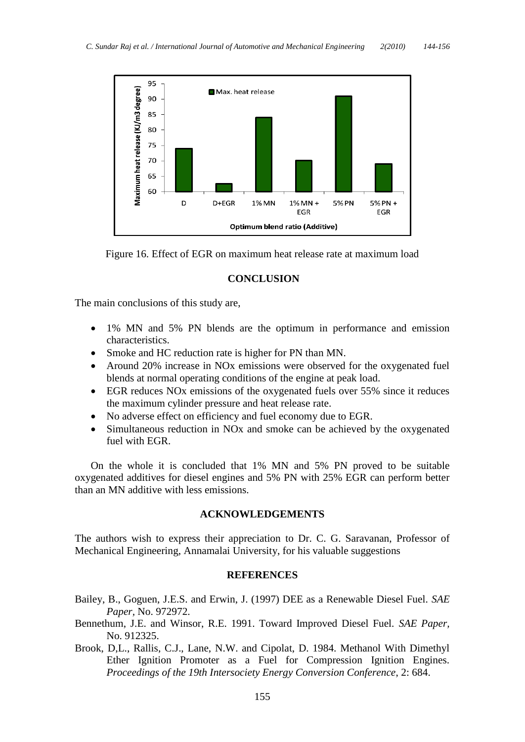

Figure 16. Effect of EGR on maximum heat release rate at maximum load

#### **CONCLUSION**

The main conclusions of this study are,

- 1% MN and 5% PN blends are the optimum in performance and emission characteristics.
- Smoke and HC reduction rate is higher for PN than MN.
- Around 20% increase in NOx emissions were observed for the oxygenated fuel blends at normal operating conditions of the engine at peak load.
- EGR reduces NOx emissions of the oxygenated fuels over 55% since it reduces the maximum cylinder pressure and heat release rate.
- No adverse effect on efficiency and fuel economy due to EGR.
- Simultaneous reduction in NO<sub>x</sub> and smoke can be achieved by the oxygenated fuel with EGR.

On the whole it is concluded that 1% MN and 5% PN proved to be suitable oxygenated additives for diesel engines and 5% PN with 25% EGR can perform better than an MN additive with less emissions.

#### **ACKNOWLEDGEMENTS**

The authors wish to express their appreciation to Dr. C. G. Saravanan, Professor of Mechanical Engineering, Annamalai University, for his valuable suggestions

#### **REFERENCES**

- Bailey, B., Goguen, J.E.S. and Erwin, J. (1997) DEE as a Renewable Diesel Fuel. *SAE Paper,* No. 972972.
- Bennethum, J.E. and Winsor, R.E. 1991. Toward Improved Diesel Fuel. *SAE Paper,*  No. 912325.
- Brook, D,L., Rallis, C.J., Lane, N.W. and Cipolat, D. 1984. Methanol With Dimethyl Ether Ignition Promoter as a Fuel for Compression Ignition Engines. *Proceedings of the 19th Intersociety Energy Conversion Conference*, 2: 684.